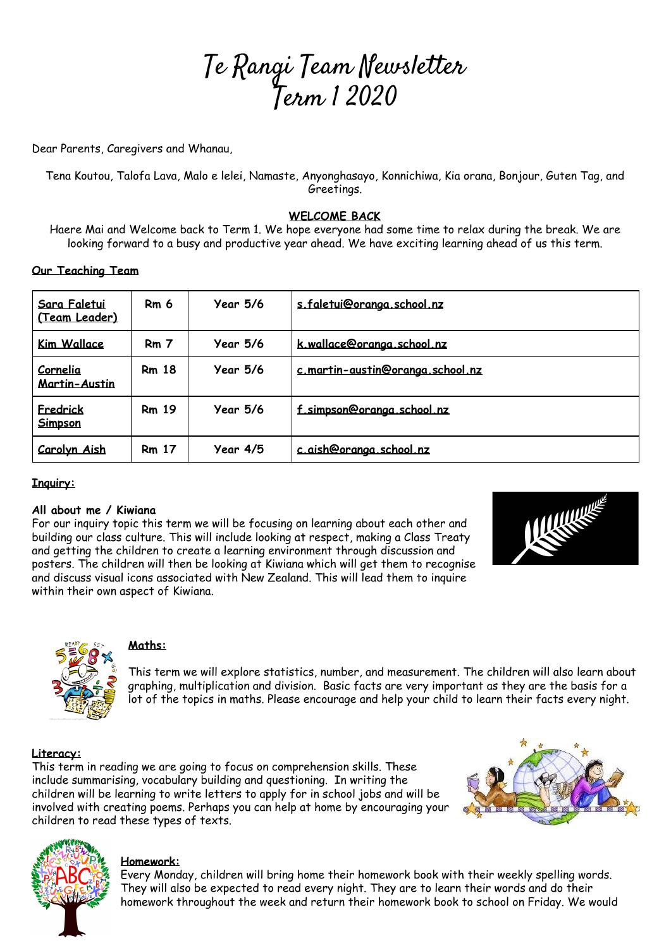# Te Rangi Team Newsletter Term 1 2020

Dear Parents, Caregivers and Whanau,

Tena Koutou, Talofa Lava, Malo e lelei, Namaste, Anyonghasayo, Konnichiwa, Kia orana, Bonjour, Guten Tag, and Greetings.

# **WELCOME BACK**

Haere Mai and Welcome back to Term 1. We hope everyone had some time to relax during the break. We are looking forward to a busy and productive year ahead. We have exciting learning ahead of us this term.

#### **Our Teaching Team**

| Sara Faletui<br>(Team Leader)     | Rm 6            | <b>Year 5/6</b> | s faletui@oranga school nz       |
|-----------------------------------|-----------------|-----------------|----------------------------------|
| Kim Wallace                       | Rm <sub>7</sub> | <b>Year 5/6</b> | k.wallace@oranga.school.nz       |
| Cornelia<br>Martin-Austin         | <b>Rm 18</b>    | <b>Year 5/6</b> | c.martin-austin@oranga.school.nz |
| <b>Fredrick</b><br><b>Simpson</b> | <b>Rm 19</b>    | <b>Year 5/6</b> | f.simpson@oranga.school.nz       |
| <b>Carolyn Aish</b>               | <b>Rm 17</b>    | <b>Year 4/5</b> | c.aish@oranga.school.nz          |

# **Inquiry:**

# **All about me / Kiwiana**

For our inquiry topic this term we will be focusing on learning about each other and building our class culture. This will include looking at respect, making a Class Treaty and getting the children to create a learning environment through discussion and posters. The children will then be looking at Kiwiana which will get them to recognise and discuss visual icons associated with New Zealand. This will lead them to inquire within their own aspect of Kiwiana.





# **Maths:**

This term we will explore statistics, number, and measurement. The children will also learn about graphing, multiplication and division. Basic facts are very important as they are the basis for a lot of the topics in maths. Please encourage and help your child to learn their facts every night.

# **Literacy:**

This term in reading we are going to focus on comprehension skills. These include summarising, vocabulary building and questioning. In writing the children will be learning to write letters to apply for in school jobs and will be involved with creating poems. Perhaps you can help at home by encouraging your children to read these types of texts.



# **Homework:**

Every Monday, children will bring home their homework book with their weekly spelling words. They will also be expected to read every night. They are to learn their words and do their homework throughout the week and return their homework book to school on Friday. We would